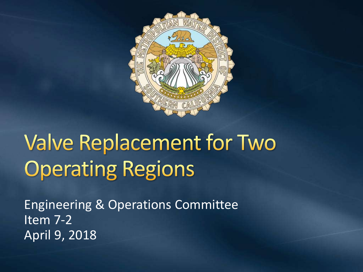

# **Valve Replacement for Two Operating Regions**

Engineering & Operations Committee Item 7-2 April 9, 2018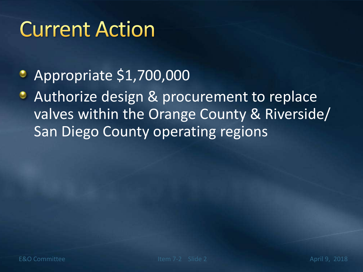### **Current Action**

- Appropriate \$1,700,000
- Authorize design & procurement to replace valves within the Orange County & Riverside/ San Diego County operating regions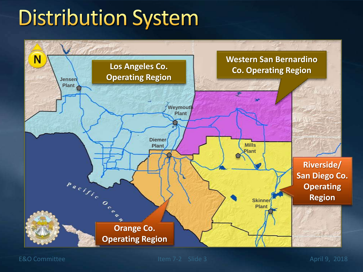# **Distribution System**

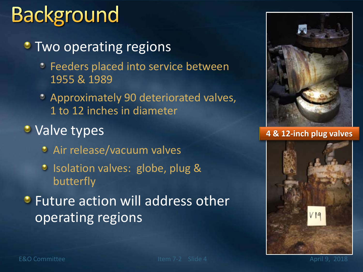# **Background**

**Two operating regions** 

- **C** Feeders placed into service between 1955 & 1989
- Approximately 90 deteriorated valves, 1 to 12 inches in diameter
- Valve types
	- Air release/vacuum valves
	- <sup>o</sup> Isolation valves: globe, plug & butterfly
- **•** Future action will address other operating regions



**4 & 12-inch plug valves**

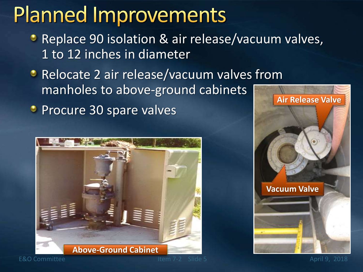### **Planned Improvements**

- **Replace 90 isolation & air release/vacuum valves,** 1 to 12 inches in diameter
- **Relocate 2 air release/vacuum valves from** manholes to above-ground cabinets
- **Procure 30 spare valves**



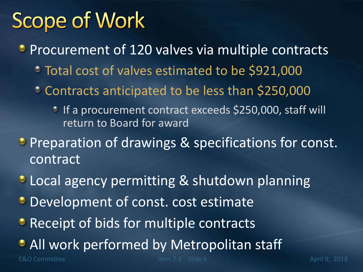## **Scope of Work**

- **Procurement of 120 valves via multiple contracts** 
	- Total cost of valves estimated to be \$921,000
	- Contracts anticipated to be less than \$250,000
		- <sup>3</sup> If a procurement contract exceeds \$250,000, staff will return to Board for award
- **Preparation of drawings & specifications for const.** contract
- **Local agency permitting & shutdown planning**
- **Development of const. cost estimate**
- **Receipt of bids for multiple contracts**
- All work performed by Metropolitan staff

E&O Committee Item 7-2 Slide 6 April 9, 2018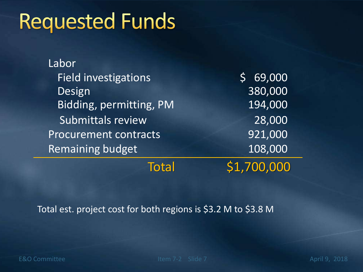### **Requested Funds**

| Labor                        |             |
|------------------------------|-------------|
| <b>Field investigations</b>  | 69,000      |
| Design                       | 380,000     |
| Bidding, permitting, PM      | 194,000     |
| <b>Submittals review</b>     | 28,000      |
| <b>Procurement contracts</b> | 921,000     |
| <b>Remaining budget</b>      | 108,000     |
| <b>Total</b>                 | \$1,700,000 |

Total est. project cost for both regions is \$3.2 M to \$3.8 M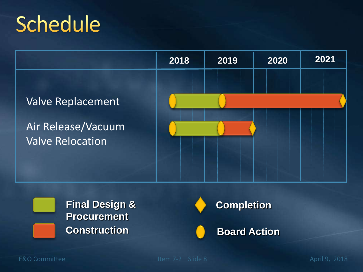# Schedule







E&O Committee Item 7-2 Slide 8 April 9, 2018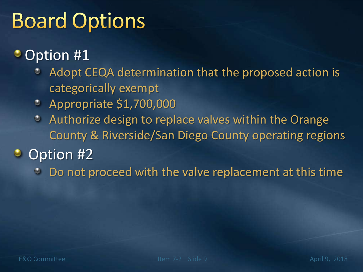# **Board Options**

#### • Option #1

- Adopt CEQA determination that the proposed action is categorically exempt
- Appropriate \$1,700,000
- Authorize design to replace valves within the Orange O County & Riverside/San Diego County operating regions

#### Option #2

Do not proceed with the valve replacement at this time $\bullet$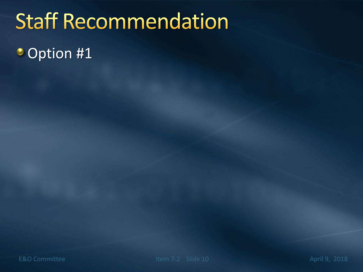# **Staff Recommendation**

**Option #1**